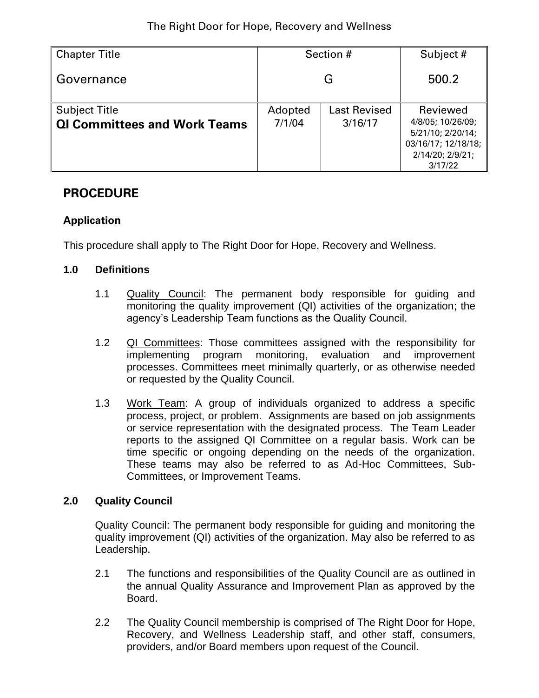| <b>Chapter Title</b>                                        | Section #         |                                | Subject #                                                                                                |  |
|-------------------------------------------------------------|-------------------|--------------------------------|----------------------------------------------------------------------------------------------------------|--|
| Governance                                                  | G                 |                                | 500.2                                                                                                    |  |
| <b>Subject Title</b><br><b>QI Committees and Work Teams</b> | Adopted<br>7/1/04 | <b>Last Revised</b><br>3/16/17 | Reviewed<br>4/8/05; 10/26/09;<br>5/21/10; 2/20/14;<br>03/16/17; 12/18/18;<br>2/14/20; 2/9/21;<br>3/17/22 |  |

# **PROCEDURE**

# **Application**

This procedure shall apply to The Right Door for Hope, Recovery and Wellness.

#### **1.0 Definitions**

- 1.1 Quality Council: The permanent body responsible for guiding and monitoring the quality improvement (QI) activities of the organization; the agency's Leadership Team functions as the Quality Council.
- 1.2 QI Committees: Those committees assigned with the responsibility for implementing program monitoring, evaluation and improvement processes. Committees meet minimally quarterly, or as otherwise needed or requested by the Quality Council.
- 1.3 Work Team: A group of individuals organized to address a specific process, project, or problem. Assignments are based on job assignments or service representation with the designated process. The Team Leader reports to the assigned QI Committee on a regular basis. Work can be time specific or ongoing depending on the needs of the organization. These teams may also be referred to as Ad-Hoc Committees, Sub-Committees, or Improvement Teams.

# **2.0 Quality Council**

Quality Council: The permanent body responsible for guiding and monitoring the quality improvement (QI) activities of the organization. May also be referred to as Leadership.

- 2.1 The functions and responsibilities of the Quality Council are as outlined in the annual Quality Assurance and Improvement Plan as approved by the Board.
- 2.2 The Quality Council membership is comprised of The Right Door for Hope, Recovery, and Wellness Leadership staff, and other staff, consumers, providers, and/or Board members upon request of the Council.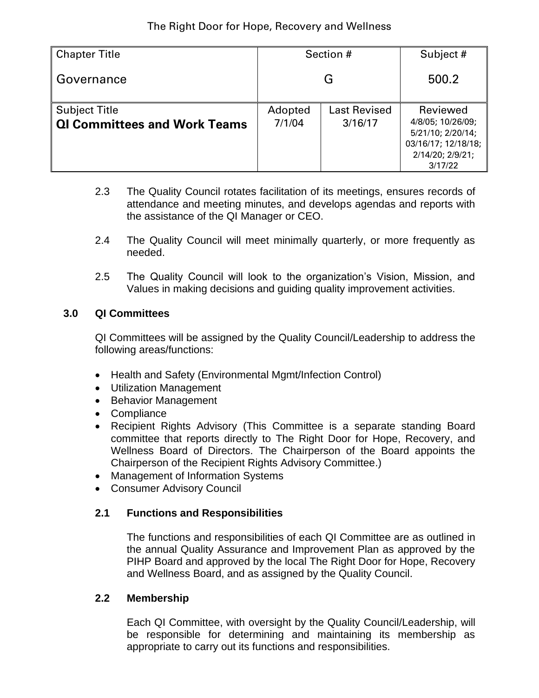| <b>Chapter Title</b>                                        | Section #         |                                | Subject #                                                                                                |  |
|-------------------------------------------------------------|-------------------|--------------------------------|----------------------------------------------------------------------------------------------------------|--|
| l Governance                                                | G                 |                                | 500.2                                                                                                    |  |
| <b>Subject Title</b><br><b>QI Committees and Work Teams</b> | Adopted<br>7/1/04 | <b>Last Revised</b><br>3/16/17 | Reviewed<br>4/8/05; 10/26/09;<br>5/21/10; 2/20/14;<br>03/16/17; 12/18/18;<br>2/14/20; 2/9/21;<br>3/17/22 |  |

- 2.3 The Quality Council rotates facilitation of its meetings, ensures records of attendance and meeting minutes, and develops agendas and reports with the assistance of the QI Manager or CEO.
- 2.4 The Quality Council will meet minimally quarterly, or more frequently as needed.
- 2.5 The Quality Council will look to the organization's Vision, Mission, and Values in making decisions and guiding quality improvement activities.

# **3.0 QI Committees**

QI Committees will be assigned by the Quality Council/Leadership to address the following areas/functions:

- Health and Safety (Environmental Mgmt/Infection Control)
- Utilization Management
- Behavior Management
- Compliance
- Recipient Rights Advisory (This Committee is a separate standing Board committee that reports directly to The Right Door for Hope, Recovery, and Wellness Board of Directors. The Chairperson of the Board appoints the Chairperson of the Recipient Rights Advisory Committee.)
- Management of Information Systems
- Consumer Advisory Council

# **2.1 Functions and Responsibilities**

The functions and responsibilities of each QI Committee are as outlined in the annual Quality Assurance and Improvement Plan as approved by the PIHP Board and approved by the local The Right Door for Hope, Recovery and Wellness Board, and as assigned by the Quality Council.

# **2.2 Membership**

Each QI Committee, with oversight by the Quality Council/Leadership, will be responsible for determining and maintaining its membership as appropriate to carry out its functions and responsibilities.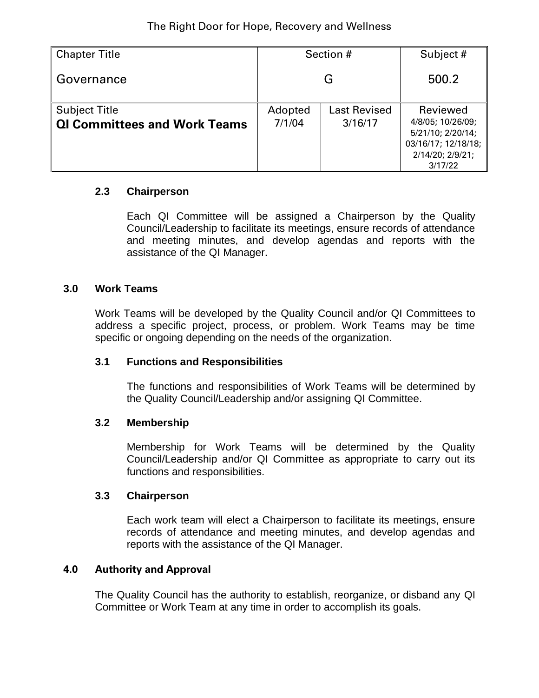| <b>Chapter Title</b>                                        | Section #         |                                | Subject #                                                                                                |  |
|-------------------------------------------------------------|-------------------|--------------------------------|----------------------------------------------------------------------------------------------------------|--|
| Governance                                                  | G                 |                                | 500.2                                                                                                    |  |
| <b>Subject Title</b><br><b>QI Committees and Work Teams</b> | Adopted<br>7/1/04 | <b>Last Revised</b><br>3/16/17 | Reviewed<br>4/8/05; 10/26/09;<br>5/21/10; 2/20/14;<br>03/16/17; 12/18/18;<br>2/14/20; 2/9/21;<br>3/17/22 |  |

#### **2.3 Chairperson**

Each QI Committee will be assigned a Chairperson by the Quality Council/Leadership to facilitate its meetings, ensure records of attendance and meeting minutes, and develop agendas and reports with the assistance of the QI Manager.

#### **3.0 Work Teams**

Work Teams will be developed by the Quality Council and/or QI Committees to address a specific project, process, or problem. Work Teams may be time specific or ongoing depending on the needs of the organization.

#### **3.1 Functions and Responsibilities**

The functions and responsibilities of Work Teams will be determined by the Quality Council/Leadership and/or assigning QI Committee.

#### **3.2 Membership**

Membership for Work Teams will be determined by the Quality Council/Leadership and/or QI Committee as appropriate to carry out its functions and responsibilities.

#### **3.3 Chairperson**

Each work team will elect a Chairperson to facilitate its meetings, ensure records of attendance and meeting minutes, and develop agendas and reports with the assistance of the QI Manager.

#### **4.0 Authority and Approval**

The Quality Council has the authority to establish, reorganize, or disband any QI Committee or Work Team at any time in order to accomplish its goals.